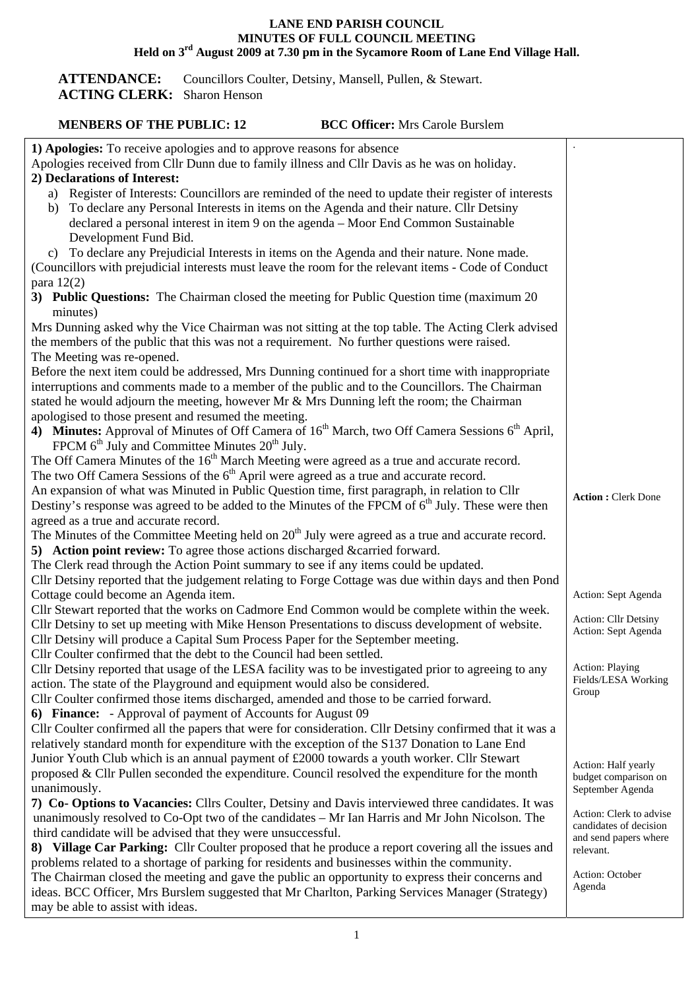## **LANE END PARISH COUNCIL MINUTES OF FULL COUNCIL MEETING Held on 3rd August 2009 at 7.30 pm in the Sycamore Room of Lane End Village Hall.**

ATTENDANCE: Councillors Coulter, Detsiny, Mansell, Pullen, & Stewart. **ACTING CLERK:** Sharon Henson

## **MENBERS OF THE PUBLIC: 12 BCC Officer:** Mrs Carole Burslem

| 1) Apologies: To receive apologies and to approve reasons for absence<br>Apologies received from Cllr Dunn due to family illness and Cllr Davis as he was on holiday.                |                                          |
|--------------------------------------------------------------------------------------------------------------------------------------------------------------------------------------|------------------------------------------|
| 2) Declarations of Interest:                                                                                                                                                         |                                          |
| a) Register of Interests: Councillors are reminded of the need to update their register of interests                                                                                 |                                          |
| To declare any Personal Interests in items on the Agenda and their nature. Cllr Detsiny<br>b)                                                                                        |                                          |
| declared a personal interest in item 9 on the agenda – Moor End Common Sustainable                                                                                                   |                                          |
| Development Fund Bid.                                                                                                                                                                |                                          |
| c) To declare any Prejudicial Interests in items on the Agenda and their nature. None made.                                                                                          |                                          |
| (Councillors with prejudicial interests must leave the room for the relevant items - Code of Conduct                                                                                 |                                          |
| para $12(2)$                                                                                                                                                                         |                                          |
| 3) Public Questions: The Chairman closed the meeting for Public Question time (maximum 20)                                                                                           |                                          |
| minutes)                                                                                                                                                                             |                                          |
| Mrs Dunning asked why the Vice Chairman was not sitting at the top table. The Acting Clerk advised                                                                                   |                                          |
| the members of the public that this was not a requirement. No further questions were raised.                                                                                         |                                          |
| The Meeting was re-opened.                                                                                                                                                           |                                          |
| Before the next item could be addressed, Mrs Dunning continued for a short time with inappropriate                                                                                   |                                          |
| interruptions and comments made to a member of the public and to the Councillors. The Chairman                                                                                       |                                          |
| stated he would adjourn the meeting, however Mr & Mrs Dunning left the room; the Chairman                                                                                            |                                          |
| apologised to those present and resumed the meeting.                                                                                                                                 |                                          |
| 4) Minutes: Approval of Minutes of Off Camera of 16 <sup>th</sup> March, two Off Camera Sessions 6 <sup>th</sup> April,                                                              |                                          |
| FPCM 6 <sup>th</sup> July and Committee Minutes 20 <sup>th</sup> July.                                                                                                               |                                          |
| The Off Camera Minutes of the 16 <sup>th</sup> March Meeting were agreed as a true and accurate record.                                                                              |                                          |
| The two Off Camera Sessions of the 6 <sup>th</sup> April were agreed as a true and accurate record.                                                                                  |                                          |
| An expansion of what was Minuted in Public Question time, first paragraph, in relation to Cllr                                                                                       | <b>Action: Clerk Done</b>                |
| Destiny's response was agreed to be added to the Minutes of the FPCM of 6 <sup>th</sup> July. These were then                                                                        |                                          |
| agreed as a true and accurate record.                                                                                                                                                |                                          |
| The Minutes of the Committee Meeting held on $20th$ July were agreed as a true and accurate record.                                                                                  |                                          |
| 5) Action point review: To agree those actions discharged & carried forward.                                                                                                         |                                          |
| The Clerk read through the Action Point summary to see if any items could be updated.                                                                                                |                                          |
| Cllr Detsiny reported that the judgement relating to Forge Cottage was due within days and then Pond                                                                                 |                                          |
| Cottage could become an Agenda item.                                                                                                                                                 | Action: Sept Agenda                      |
| Cllr Stewart reported that the works on Cadmore End Common would be complete within the week.                                                                                        | Action: Cllr Detsiny                     |
| Cllr Detsiny to set up meeting with Mike Henson Presentations to discuss development of website.                                                                                     | Action: Sept Agenda                      |
| Cllr Detsiny will produce a Capital Sum Process Paper for the September meeting.                                                                                                     |                                          |
| Cllr Coulter confirmed that the debt to the Council had been settled.                                                                                                                | Action: Playing                          |
| Cllr Detsiny reported that usage of the LESA facility was to be investigated prior to agreeing to any<br>action. The state of the Playground and equipment would also be considered. | Fields/LESA Working                      |
| Cllr Coulter confirmed those items discharged, amended and those to be carried forward.                                                                                              | Group                                    |
| 6) Finance: - Approval of payment of Accounts for August 09                                                                                                                          |                                          |
| Cllr Coulter confirmed all the papers that were for consideration. Cllr Detsiny confirmed that it was a                                                                              |                                          |
| relatively standard month for expenditure with the exception of the S137 Donation to Lane End                                                                                        |                                          |
| Junior Youth Club which is an annual payment of £2000 towards a youth worker. Cllr Stewart                                                                                           |                                          |
| proposed & Cllr Pullen seconded the expenditure. Council resolved the expenditure for the month                                                                                      | Action: Half yearly                      |
| unanimously.                                                                                                                                                                         | budget comparison on<br>September Agenda |
| 7) Co- Options to Vacancies: Cllrs Coulter, Detsiny and Davis interviewed three candidates. It was                                                                                   |                                          |
| unanimously resolved to Co-Opt two of the candidates - Mr Ian Harris and Mr John Nicolson. The                                                                                       | Action: Clerk to advise                  |
| third candidate will be advised that they were unsuccessful.                                                                                                                         | candidates of decision                   |
| 8) Village Car Parking: Cllr Coulter proposed that he produce a report covering all the issues and                                                                                   | and send papers where<br>relevant.       |
| problems related to a shortage of parking for residents and businesses within the community.                                                                                         |                                          |
| The Chairman closed the meeting and gave the public an opportunity to express their concerns and                                                                                     | Action: October                          |
| ideas. BCC Officer, Mrs Burslem suggested that Mr Charlton, Parking Services Manager (Strategy)                                                                                      | Agenda                                   |
| may be able to assist with ideas.                                                                                                                                                    |                                          |